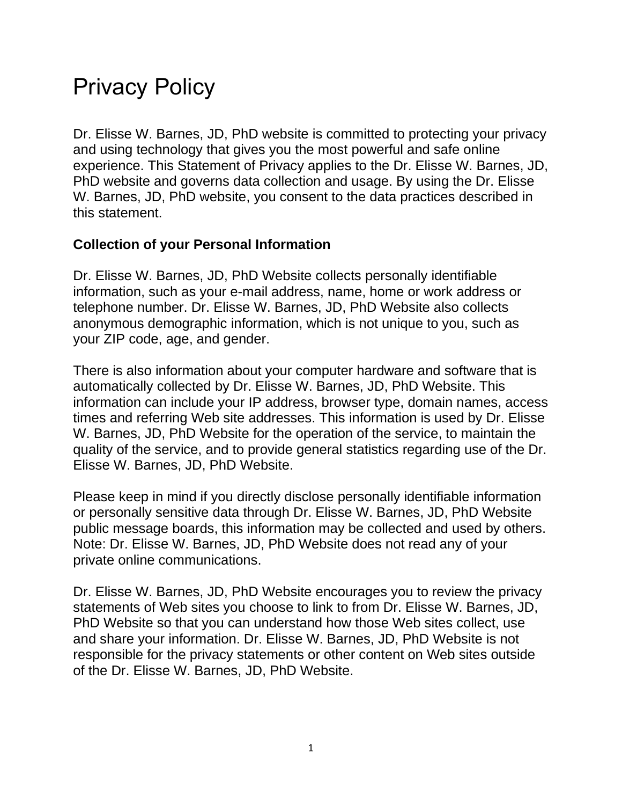# Privacy Policy

Dr. Elisse W. Barnes, JD, PhD website is committed to protecting your privacy and using technology that gives you the most powerful and safe online experience. This Statement of Privacy applies to the Dr. Elisse W. Barnes, JD, PhD website and governs data collection and usage. By using the Dr. Elisse W. Barnes, JD, PhD website, you consent to the data practices described in this statement.

#### **Collection of your Personal Information**

Dr. Elisse W. Barnes, JD, PhD Website collects personally identifiable information, such as your e-mail address, name, home or work address or telephone number. Dr. Elisse W. Barnes, JD, PhD Website also collects anonymous demographic information, which is not unique to you, such as your ZIP code, age, and gender.

There is also information about your computer hardware and software that is automatically collected by Dr. Elisse W. Barnes, JD, PhD Website. This information can include your IP address, browser type, domain names, access times and referring Web site addresses. This information is used by Dr. Elisse W. Barnes, JD, PhD Website for the operation of the service, to maintain the quality of the service, and to provide general statistics regarding use of the Dr. Elisse W. Barnes, JD, PhD Website.

Please keep in mind if you directly disclose personally identifiable information or personally sensitive data through Dr. Elisse W. Barnes, JD, PhD Website public message boards, this information may be collected and used by others. Note: Dr. Elisse W. Barnes, JD, PhD Website does not read any of your private online communications.

Dr. Elisse W. Barnes, JD, PhD Website encourages you to review the privacy statements of Web sites you choose to link to from Dr. Elisse W. Barnes, JD, PhD Website so that you can understand how those Web sites collect, use and share your information. Dr. Elisse W. Barnes, JD, PhD Website is not responsible for the privacy statements or other content on Web sites outside of the Dr. Elisse W. Barnes, JD, PhD Website.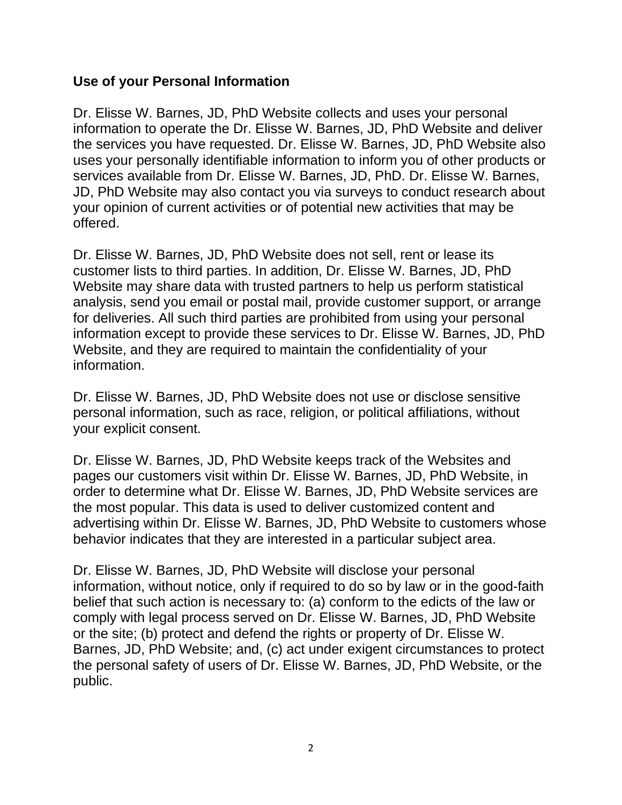#### **Use of your Personal Information**

Dr. Elisse W. Barnes, JD, PhD Website collects and uses your personal information to operate the Dr. Elisse W. Barnes, JD, PhD Website and deliver the services you have requested. Dr. Elisse W. Barnes, JD, PhD Website also uses your personally identifiable information to inform you of other products or services available from Dr. Elisse W. Barnes, JD, PhD. Dr. Elisse W. Barnes, JD, PhD Website may also contact you via surveys to conduct research about your opinion of current activities or of potential new activities that may be offered.

Dr. Elisse W. Barnes, JD, PhD Website does not sell, rent or lease its customer lists to third parties. In addition, Dr. Elisse W. Barnes, JD, PhD Website may share data with trusted partners to help us perform statistical analysis, send you email or postal mail, provide customer support, or arrange for deliveries. All such third parties are prohibited from using your personal information except to provide these services to Dr. Elisse W. Barnes, JD, PhD Website, and they are required to maintain the confidentiality of your information.

Dr. Elisse W. Barnes, JD, PhD Website does not use or disclose sensitive personal information, such as race, religion, or political affiliations, without your explicit consent.

Dr. Elisse W. Barnes, JD, PhD Website keeps track of the Websites and pages our customers visit within Dr. Elisse W. Barnes, JD, PhD Website, in order to determine what Dr. Elisse W. Barnes, JD, PhD Website services are the most popular. This data is used to deliver customized content and advertising within Dr. Elisse W. Barnes, JD, PhD Website to customers whose behavior indicates that they are interested in a particular subject area.

Dr. Elisse W. Barnes, JD, PhD Website will disclose your personal information, without notice, only if required to do so by law or in the good-faith belief that such action is necessary to: (a) conform to the edicts of the law or comply with legal process served on Dr. Elisse W. Barnes, JD, PhD Website or the site; (b) protect and defend the rights or property of Dr. Elisse W. Barnes, JD, PhD Website; and, (c) act under exigent circumstances to protect the personal safety of users of Dr. Elisse W. Barnes, JD, PhD Website, or the public.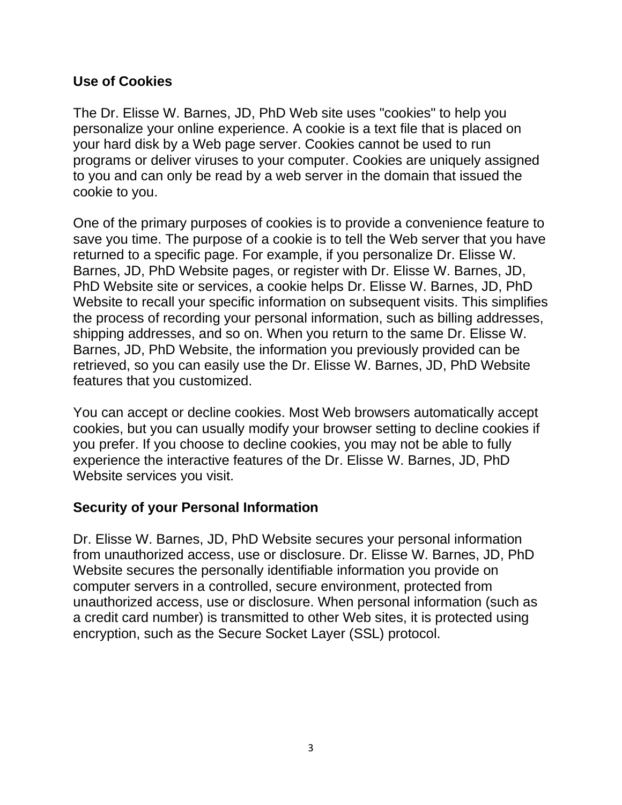#### **Use of Cookies**

The Dr. Elisse W. Barnes, JD, PhD Web site uses "cookies" to help you personalize your online experience. A cookie is a text file that is placed on your hard disk by a Web page server. Cookies cannot be used to run programs or deliver viruses to your computer. Cookies are uniquely assigned to you and can only be read by a web server in the domain that issued the cookie to you.

One of the primary purposes of cookies is to provide a convenience feature to save you time. The purpose of a cookie is to tell the Web server that you have returned to a specific page. For example, if you personalize Dr. Elisse W. Barnes, JD, PhD Website pages, or register with Dr. Elisse W. Barnes, JD, PhD Website site or services, a cookie helps Dr. Elisse W. Barnes, JD, PhD Website to recall your specific information on subsequent visits. This simplifies the process of recording your personal information, such as billing addresses, shipping addresses, and so on. When you return to the same Dr. Elisse W. Barnes, JD, PhD Website, the information you previously provided can be retrieved, so you can easily use the Dr. Elisse W. Barnes, JD, PhD Website features that you customized.

You can accept or decline cookies. Most Web browsers automatically accept cookies, but you can usually modify your browser setting to decline cookies if you prefer. If you choose to decline cookies, you may not be able to fully experience the interactive features of the Dr. Elisse W. Barnes, JD, PhD Website services you visit.

### **Security of your Personal Information**

Dr. Elisse W. Barnes, JD, PhD Website secures your personal information from unauthorized access, use or disclosure. Dr. Elisse W. Barnes, JD, PhD Website secures the personally identifiable information you provide on computer servers in a controlled, secure environment, protected from unauthorized access, use or disclosure. When personal information (such as a credit card number) is transmitted to other Web sites, it is protected using encryption, such as the Secure Socket Layer (SSL) protocol.